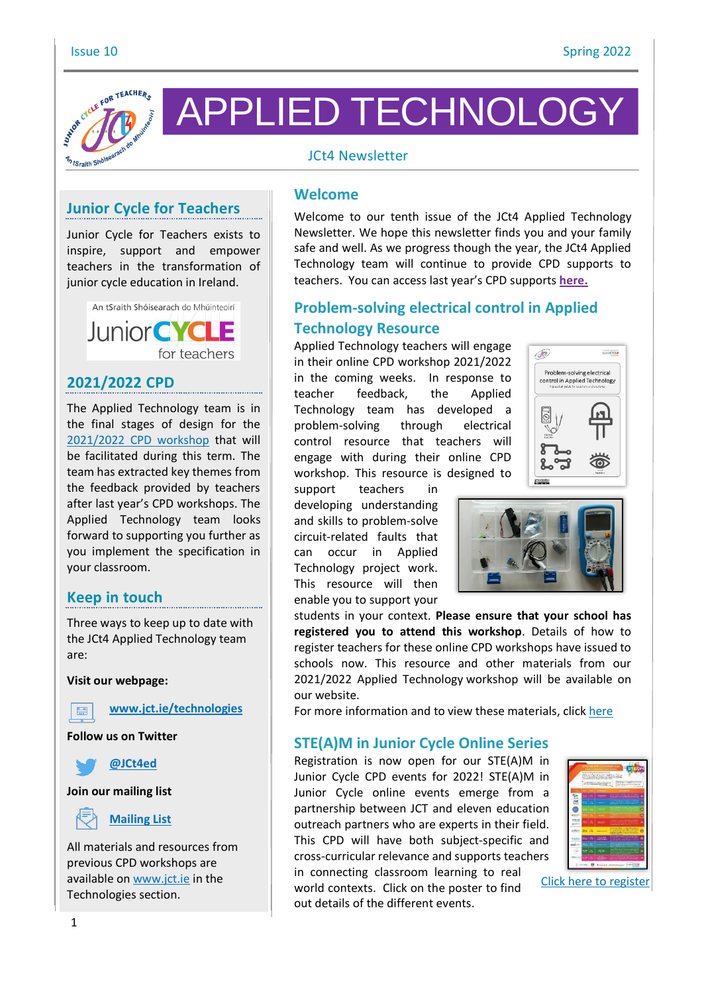

APPLIED TECHNOLOGY

### JCt4 Newsletter

# **Junior Cycle for Teachers**

Junior Cycle for Teachers exists to inspire, support and empower teachers in the transformation of junior cycle education in Ireland.



### **2021/2022 CPD**

The Applied Technology team is in the final stages of design for the [2021/2022](https://www.jct.ie/technologies/cpd_supports_applied_technology_cpd_workshops_2021_2022) CPD workshop that will be facilitated during this term. The team has extracted key themes from the feedback provided by teachers after last year's CPD workshops. The Applied Technology team looks forward to supporting you further as you implement the specification in your classroom.

### **Keep in touch**

Three ways to keep up to date with the JCt4 Applied Technology team are:

**Visit our webpage:**



**[www.jct.ie/technologies](http://www.jct.ie/technologies)**

**Follow us on Twitter**



**Join our mailing list**



All materials and resources from previous CPD workshops are available on [www.jct.ie](http://www.jct.ie/) in the Technologies section.

#### **Welcome**

Welcome to our tenth issue of the JCt4 Applied Technology Newsletter. We hope this newsletter finds you and your family safe and well. As we progress though the year, the JCt4 Applied Technology team will continue to provide CPD supports to teachers. You can access last year's CPD supports **[here.](https://www.jct.ie/technologies/cpd_supports_applied_technology_cpd_workshops_2020_2021)**

# **Problem-solving electrical control in Applied Technology Resource**

Applied Technology teachers will engage in their online CPD workshop 2021/2022 in the coming weeks. In response to teacher feedback, the Applied Technology team has developed a problem-solving through electrical control resource that teachers will engage with during their online CPD workshop. This resource is designed to

00

**Unominate** 

Problem-solving electrical control in Applied Technology

support teachers in developing understanding and skills to problem-solve circuit-related faults that can occur in Applied Technology project work. This resource will then enable you to support your



students in your context. **Please ensure that your school has registered you to attend this workshop**. Details of how to register teachers for these online CPD workshops have issued to schools now. This resource and other materials from our 2021/2022 Applied Technology workshop will be available on our website.

For more information and to view these materials, click [here](https://www.jct.ie/technologies/cpd_supports_applied_technology_cpd_workshops_2021_2022)

#### **STE(A)M in Junior Cycle Online Series**

Registration is now open for our STE(A)M in Junior Cycle CPD events for 2022! STE(A)M in Junior Cycle online events emerge from a partnership between JCT and eleven education outreach partners who are experts in their field. This CPD will have both subject-specific and cross-curricular relevance and supports teachers in connecting classroom learning to real world contexts. Click on the poster to find out details of the different events.